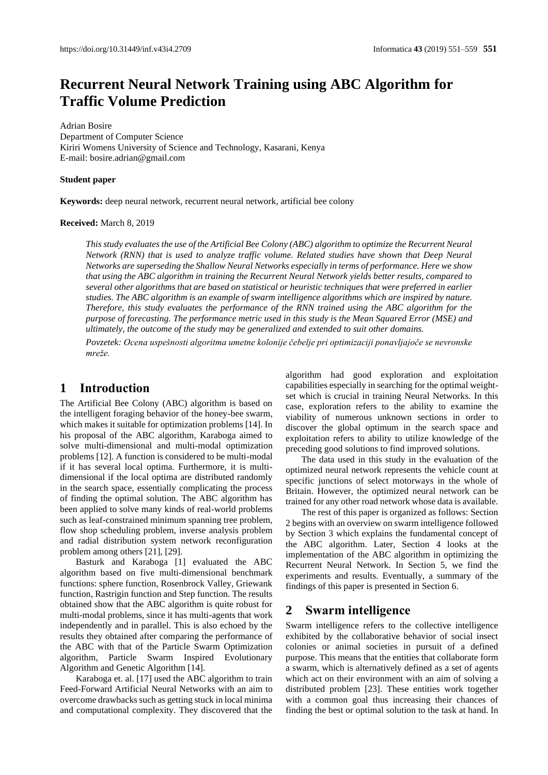# **Recurrent Neural Network Training using ABC Algorithm for Traffic Volume Prediction**

Adrian Bosire Department of Computer Science Kiriri Womens University of Science and Technology, Kasarani, Kenya E-mail[: bosire.adrian@gmail.com](mailto:bosire.adrian@gmail.com)

#### **Student paper**

**Keywords:** deep neural network, recurrent neural network, artificial bee colony

#### **Received:** March 8, 2019

*This study evaluates the use of the Artificial Bee Colony (ABC) algorithm to optimize the Recurrent Neural Network (RNN) that is used to analyze traffic volume. Related studies have shown that Deep Neural Networks are superseding the Shallow Neural Networks especially in terms of performance. Here we show that using the ABC algorithm in training the Recurrent Neural Network yields better results, compared to several other algorithms that are based on statistical or heuristic techniques that were preferred in earlier studies. The ABC algorithm is an example of swarm intelligence algorithms which are inspired by nature. Therefore, this study evaluates the performance of the RNN trained using the ABC algorithm for the purpose of forecasting. The performance metric used in this study is the Mean Squared Error (MSE) and ultimately, the outcome of the study may be generalized and extended to suit other domains.*

*Povzetek: Ocena uspešnosti algoritma umetne kolonije čebelje pri optimizaciji ponavljajoče se nevronske mreže.*

## **1 Introduction**

The Artificial Bee Colony (ABC) algorithm is based on the intelligent foraging behavior of the honey-bee swarm, which makes it suitable for optimization problems [14]. In his proposal of the ABC algorithm, Karaboga aimed to solve multi-dimensional and multi-modal optimization problems [12]. A function is considered to be multi-modal if it has several local optima. Furthermore, it is multidimensional if the local optima are distributed randomly in the search space, essentially complicating the process of finding the optimal solution. The ABC algorithm has been applied to solve many kinds of real-world problems such as leaf-constrained minimum spanning tree problem, flow shop scheduling problem, inverse analysis problem and radial distribution system network reconfiguration problem among others [21], [29].

Basturk and Karaboga [1] evaluated the ABC algorithm based on five multi-dimensional benchmark functions: sphere function, Rosenbrock Valley, Griewank function, Rastrigin function and Step function. The results obtained show that the ABC algorithm is quite robust for multi-modal problems, since it has multi-agents that work independently and in parallel. This is also echoed by the results they obtained after comparing the performance of the ABC with that of the Particle Swarm Optimization algorithm, Particle Swarm Inspired Evolutionary Algorithm and Genetic Algorithm [14].

Karaboga et. al. [17] used the ABC algorithm to train Feed-Forward Artificial Neural Networks with an aim to overcome drawbacks such as getting stuck in local minima and computational complexity. They discovered that the

algorithm had good exploration and exploitation capabilities especially in searching for the optimal weightset which is crucial in training Neural Networks. In this case, exploration refers to the ability to examine the viability of numerous unknown sections in order to discover the global optimum in the search space and exploitation refers to ability to utilize knowledge of the preceding good solutions to find improved solutions.

The data used in this study in the evaluation of the optimized neural network represents the vehicle count at specific junctions of select motorways in the whole of Britain. However, the optimized neural network can be trained for any other road network whose data is available.

The rest of this paper is organized as follows: Section 2 begins with an overview on swarm intelligence followed by Section 3 which explains the fundamental concept of the ABC algorithm. Later, Section 4 looks at the implementation of the ABC algorithm in optimizing the Recurrent Neural Network. In Section 5, we find the experiments and results. Eventually, a summary of the findings of this paper is presented in Section 6.

### **2 Swarm intelligence**

Swarm intelligence refers to the collective intelligence exhibited by the collaborative behavior of social insect colonies or animal societies in pursuit of a defined purpose. This means that the entities that collaborate form a swarm, which is alternatively defined as a set of agents which act on their environment with an aim of solving a distributed problem [23]. These entities work together with a common goal thus increasing their chances of finding the best or optimal solution to the task at hand. In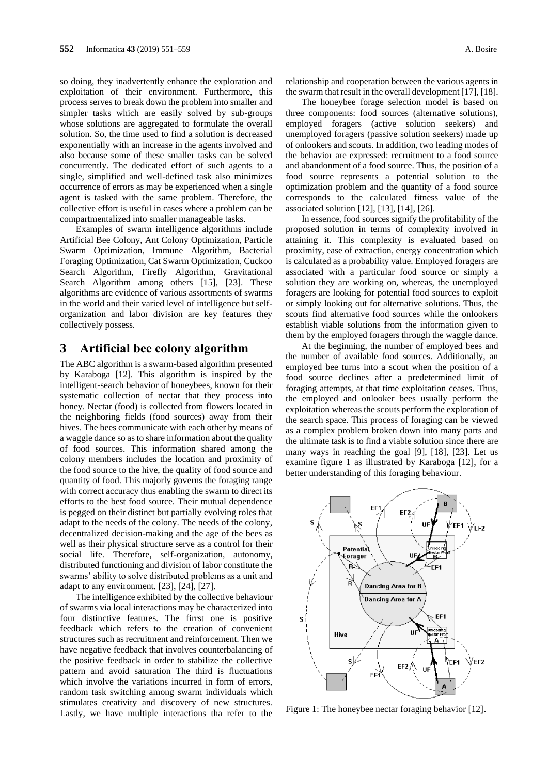so doing, they inadvertently enhance the exploration and exploitation of their environment. Furthermore, this process serves to break down the problem into smaller and simpler tasks which are easily solved by sub-groups whose solutions are aggregated to formulate the overall solution. So, the time used to find a solution is decreased exponentially with an increase in the agents involved and also because some of these smaller tasks can be solved concurrently. The dedicated effort of such agents to a single, simplified and well-defined task also minimizes occurrence of errors as may be experienced when a single agent is tasked with the same problem. Therefore, the collective effort is useful in cases where a problem can be compartmentalized into smaller manageable tasks.

Examples of swarm intelligence algorithms include Artificial Bee Colony, Ant Colony Optimization, Particle Swarm Optimization, Immune Algorithm, Bacterial Foraging Optimization, Cat Swarm Optimization, Cuckoo Search Algorithm, Firefly Algorithm, Gravitational Search Algorithm among others [15], [23]. These algorithms are evidence of various assortments of swarms in the world and their varied level of intelligence but selforganization and labor division are key features they collectively possess.

### **3 Artificial bee colony algorithm**

The ABC algorithm is a swarm-based algorithm presented by Karaboga [12]. This algorithm is inspired by the intelligent-search behavior of honeybees, known for their systematic collection of nectar that they process into honey. Nectar (food) is collected from flowers located in the neighboring fields (food sources) away from their hives. The bees communicate with each other by means of a waggle dance so as to share information about the quality of food sources. This information shared among the colony members includes the location and proximity of the food source to the hive, the quality of food source and quantity of food. This majorly governs the foraging range with correct accuracy thus enabling the swarm to direct its efforts to the best food source. Their mutual dependence is pegged on their distinct but partially evolving roles that adapt to the needs of the colony. The needs of the colony, decentralized decision-making and the age of the bees as well as their physical structure serve as a control for their social life. Therefore, self-organization, autonomy, distributed functioning and division of labor constitute the swarms' ability to solve distributed problems as a unit and adapt to any environment. [23], [24], [27].

The intelligence exhibited by the collective behaviour of swarms via local interactions may be characterized into four distinctive features. The firrst one is positive feedback which refers to the creation of convenient structures such as recruitment and reinforcement. Then we have negative feedback that involves counterbalancing of the positive feedback in order to stabilize the collective pattern and avoid saturation The third is fluctuations which involve the variations incurred in form of errors, random task switching among swarm individuals which stimulates creativity and discovery of new structures. Lastly, we have multiple interactions tha refer to the

relationship and cooperation between the various agents in the swarm that result in the overall development [17], [18].

The honeybee forage selection model is based on three components: food sources (alternative solutions), employed foragers (active solution seekers) and unemployed foragers (passive solution seekers) made up of onlookers and scouts. In addition, two leading modes of the behavior are expressed: recruitment to a food source and abandonment of a food source. Thus, the position of a food source represents a potential solution to the optimization problem and the quantity of a food source corresponds to the calculated fitness value of the associated solution [12], [13], [14], [26].

In essence, food sources signify the profitability of the proposed solution in terms of complexity involved in attaining it. This complexity is evaluated based on proximity, ease of extraction, energy concentration which is calculated as a probability value. Employed foragers are associated with a particular food source or simply a solution they are working on, whereas, the unemployed foragers are looking for potential food sources to exploit or simply looking out for alternative solutions. Thus, the scouts find alternative food sources while the onlookers establish viable solutions from the information given to them by the employed foragers through the waggle dance.

At the beginning, the number of employed bees and the number of available food sources. Additionally, an employed bee turns into a scout when the position of a food source declines after a predetermined limit of foraging attempts, at that time exploitation ceases. Thus, the employed and onlooker bees usually perform the exploitation whereas the scouts perform the exploration of the search space. This process of foraging can be viewed as a complex problem broken down into many parts and the ultimate task is to find a viable solution since there are many ways in reaching the goal [9], [18], [23]. Let us examine figure 1 as illustrated by Karaboga [12], for a better understanding of this foraging behaviour.



Figure 1: The honeybee nectar foraging behavior [12].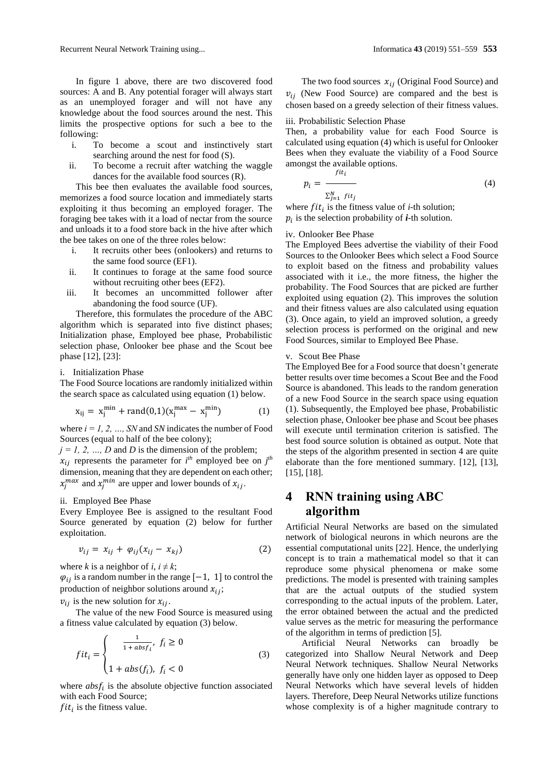Recurrent Neural Network Training using... Informatica **43** (2019) 551–559 **553**

In figure 1 above, there are two discovered food sources: A and B. Any potential forager will always start as an unemployed forager and will not have any knowledge about the food sources around the nest. This limits the prospective options for such a bee to the following:

- i. To become a scout and instinctively start searching around the nest for food (S).
- ii. To become a recruit after watching the waggle dances for the available food sources (R).

This bee then evaluates the available food sources, memorizes a food source location and immediately starts exploiting it thus becoming an employed forager. The foraging bee takes with it a load of nectar from the source and unloads it to a food store back in the hive after which the bee takes on one of the three roles below:

- i. It recruits other bees (onlookers) and returns to the same food source (EF1).
- ii. It continues to forage at the same food source without recruiting other bees (EF2).
- iii. It becomes an uncommitted follower after abandoning the food source (UF).

Therefore, this formulates the procedure of the ABC algorithm which is separated into five distinct phases; Initialization phase, Employed bee phase, Probabilistic selection phase, Onlooker bee phase and the Scout bee phase [12], [23]:

#### i. Initialization Phase

The Food Source locations are randomly initialized within the search space as calculated using equation (1) below.

$$
x_{ij} = x_j^{min} + rand(0,1)(x_j^{max} - x_j^{min})
$$
 (1)

where  $i = 1, 2, ..., SN$  and *SN* indicates the number of Food Sources (equal to half of the bee colony);

 $j = 1, 2, ..., D$  and *D* is the dimension of the problem;  $x_{ij}$  represents the parameter for  $i^{th}$  employed bee on  $j^{th}$ 

dimension, meaning that they are dependent on each other;  $x_j^{max}$  and  $x_j^{min}$  are upper and lower bounds of  $x_{ij}$ .

#### ii. Employed Bee Phase

Every Employee Bee is assigned to the resultant Food Source generated by equation (2) below for further exploitation.

$$
v_{ij} = x_{ij} + \varphi_{ij}(x_{ij} - x_{kj})
$$
 (2)

where *k* is a neighbor of *i*,  $i \neq k$ ;

 $\varphi_{ij}$  is a random number in the range [−1, 1] to control the production of neighbor solutions around  $x_{ij}$ ;

 $v_{ii}$  is the new solution for  $x_{ii}$ .

The value of the new Food Source is measured using a fitness value calculated by equation (3) below.

$$
fit_i = \begin{cases} \frac{1}{1 + absf_i}, & f_i \ge 0\\ 1 + abs(f_i), & f_i < 0 \end{cases}
$$
 (3)

where  $absf_i$  is the absolute objective function associated with each Food Source;

 $fit_i$  is the fitness value.

The two food sources  $x_{ii}$  (Original Food Source) and  $v_{ij}$  (New Food Source) are compared and the best is chosen based on a greedy selection of their fitness values.

#### iii. Probabilistic Selection Phase

Then, a probability value for each Food Source is calculated using equation (4) which is useful for Onlooker Bees when they evaluate the viability of a Food Source amongst the available options.

$$
p_i = \frac{fit_i}{\sum_{j=1}^{N} fit_j}
$$
 (4)

where  $fit_i$  is the fitness value of *i*-th solution;  $p_i$  is the selection probability of  $i$ -th solution.

#### iv. Onlooker Bee Phase

The Employed Bees advertise the viability of their Food Sources to the Onlooker Bees which select a Food Source to exploit based on the fitness and probability values associated with it i.e., the more fitness, the higher the probability. The Food Sources that are picked are further exploited using equation (2). This improves the solution and their fitness values are also calculated using equation (3). Once again, to yield an improved solution, a greedy selection process is performed on the original and new Food Sources, similar to Employed Bee Phase.

#### v. Scout Bee Phase

The Employed Bee for a Food source that doesn't generate better results over time becomes a Scout Bee and the Food Source is abandoned. This leads to the random generation of a new Food Source in the search space using equation (1). Subsequently, the Employed bee phase, Probabilistic selection phase, Onlooker bee phase and Scout bee phases will execute until termination criterion is satisfied. The best food source solution is obtained as output. Note that the steps of the algorithm presented in section 4 are quite elaborate than the fore mentioned summary. [12], [13], [15], [18].

# **4 RNN training using ABC algorithm**

Artificial Neural Networks are based on the simulated network of biological neurons in which neurons are the essential computational units [22]. Hence, the underlying concept is to train a mathematical model so that it can reproduce some physical phenomena or make some predictions. The model is presented with training samples that are the actual outputs of the studied system corresponding to the actual inputs of the problem. Later, the error obtained between the actual and the predicted value serves as the metric for measuring the performance of the algorithm in terms of prediction [5].

Artificial Neural Networks can broadly be categorized into Shallow Neural Network and Deep Neural Network techniques. Shallow Neural Networks generally have only one hidden layer as opposed to Deep Neural Networks which have several levels of hidden layers. Therefore, Deep Neural Networks utilize functions whose complexity is of a higher magnitude contrary to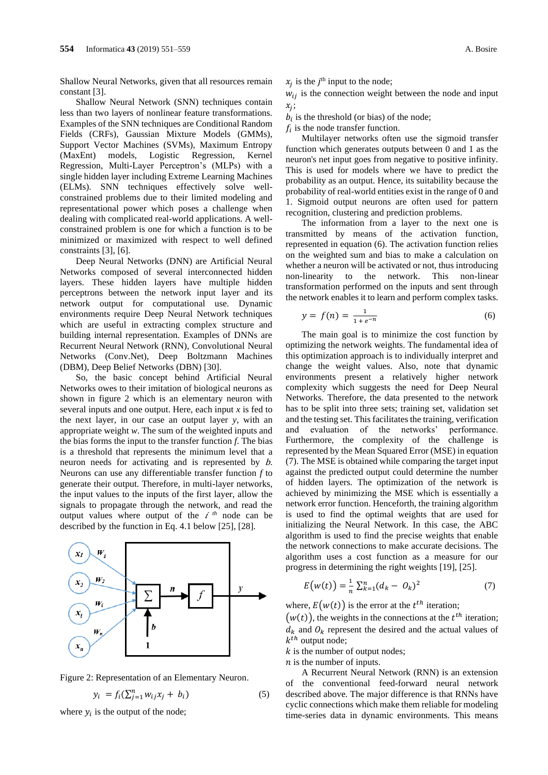Shallow Neural Networks, given that all resources remain constant [3].

Shallow Neural Network (SNN) techniques contain less than two layers of nonlinear feature transformations. Examples of the SNN techniques are Conditional Random Fields (CRFs), Gaussian Mixture Models (GMMs), Support Vector Machines (SVMs), Maximum Entropy (MaxEnt) models, Logistic Regression, Kernel Regression, Multi-Layer Perceptron's (MLPs) with a single hidden layer including Extreme Learning Machines (ELMs). SNN techniques effectively solve wellconstrained problems due to their limited modeling and representational power which poses a challenge when dealing with complicated real-world applications. A wellconstrained problem is one for which a function is to be minimized or maximized with respect to well defined constraints [3], [6].

Deep Neural Networks (DNN) are Artificial Neural Networks composed of several interconnected hidden layers. These hidden layers have multiple hidden perceptrons between the network input layer and its network output for computational use. Dynamic environments require Deep Neural Network techniques which are useful in extracting complex structure and building internal representation. Examples of DNNs are Recurrent Neural Network (RNN), Convolutional Neural Networks (Conv.Net), Deep Boltzmann Machines (DBM), Deep Belief Networks (DBN) [30].

So, the basic concept behind Artificial Neural Networks owes to their imitation of biological neurons as shown in figure 2 which is an elementary neuron with several inputs and one output. Here, each input *x* is fed to the next layer, in our case an output layer *y*, with an appropriate weight *w*. The sum of the weighted inputs and the bias forms the input to the transfer function *f*. The bias is a threshold that represents the minimum level that a neuron needs for activating and is represented by b. Neurons can use any differentiable transfer function *f* to generate their output. Therefore, in multi-layer networks, the input values to the inputs of the first layer, allow the signals to propagate through the network, and read the output values where output of the  $i^{th}$  node can be described by the function in Eq. 4.1 below [25], [28].





$$
y_i = f_i(\sum_{j=1}^n w_{ij} x_j + b_i)
$$
 (5)

where  $y_i$  is the output of the node;

 $x_j$  is the  $j^{\text{th}}$  input to the node;

 $w_{ij}$  is the connection weight between the node and input  $x_j$ ;

 $b_i$  is the threshold (or bias) of the node;

 $f_i$  is the node transfer function.

Multilayer networks often use the sigmoid transfer function which generates outputs between 0 and 1 as the neuron's net input goes from negative to positive infinity. This is used for models where we have to predict the probability as an output. Hence, its suitability because the probability of real-world entities exist in the range of 0 and 1. Sigmoid output neurons are often used for pattern recognition, clustering and prediction problems.

The information from a layer to the next one is transmitted by means of the activation function, represented in equation (6). The activation function relies on the weighted sum and bias to make a calculation on whether a neuron will be activated or not, thus introducing non-linearity to the network. This non-linear transformation performed on the inputs and sent through the network enables it to learn and perform complex tasks.

$$
y = f(n) = \frac{1}{1 + e^{-n}}\tag{6}
$$

The main goal is to minimize the cost function by optimizing the network weights. The fundamental idea of this optimization approach is to individually interpret and change the weight values. Also, note that dynamic environments present a relatively higher network complexity which suggests the need for Deep Neural Networks. Therefore, the data presented to the network has to be split into three sets; training set, validation set and the testing set. This facilitates the training, verification<br>and evaluation of the networks' performance. and evaluation of the networks' Furthermore, the complexity of the challenge is represented by the Mean Squared Error (MSE) in equation (7). The MSE is obtained while comparing the target input against the predicted output could determine the number of hidden layers. The optimization of the network is achieved by minimizing the MSE which is essentially a network error function. Henceforth, the training algorithm is used to find the optimal weights that are used for initializing the Neural Network. In this case, the ABC algorithm is used to find the precise weights that enable the network connections to make accurate decisions. The algorithm uses a cost function as a measure for our progress in determining the right weights [19], [25].

$$
E(w(t)) = \frac{1}{n} \sum_{k=1}^{n} (d_k - 0_k)^2
$$
 (7)

where,  $E(w(t))$  is the error at the  $t^{th}$  iteration;

 $(w(t))$ , the weights in the connections at the  $t<sup>th</sup>$  iteration;  $d_k$  and  $\mathcal{O}_k$  represent the desired and the actual values of  $k^{th}$  output node;

 $k$  is the number of output nodes;

 $n$  is the number of inputs.

A Recurrent Neural Network (RNN) is an extension of the conventional feed-forward neural network described above. The major difference is that RNNs have cyclic connections which make them reliable for modeling time-series data in dynamic environments. This means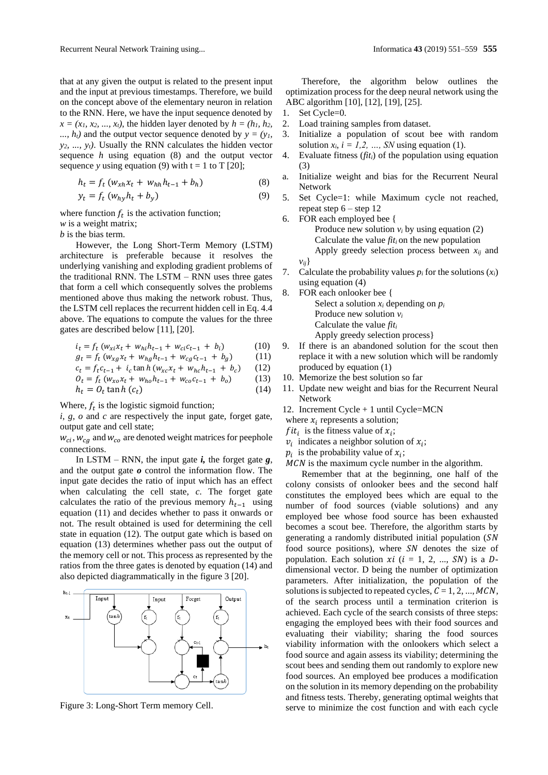that at any given the output is related to the present input and the input at previous timestamps. Therefore, we build on the concept above of the elementary neuron in relation to the RNN. Here, we have the input sequence denoted by  $x = (x_1, x_2, \ldots, x_t)$ , the hidden layer denoted by  $h = (h_1, h_2, \ldots, h_t)$ ...,  $h_t$  and the output vector sequence denoted by  $y = (y_t, y_t, \ldots, y_t)$ *y2, ..., yt)*. Usually the RNN calculates the hidden vector sequence *h* using equation (8) and the output vector sequence *y* using equation (9) with  $t = 1$  to  $T$  [20];

$$
h_t = f_t \left( w_{xh} x_t + w_{hh} h_{t-1} + b_h \right) \tag{8}
$$

$$
y_t = f_t \left( w_{hy} h_t + b_y \right) \tag{9}
$$

where function  $f_t$  is the activation function; *w* is a weight matrix;

*b* is the bias term.

However, the Long Short-Term Memory (LSTM) architecture is preferable because it resolves the underlying vanishing and exploding gradient problems of the traditional RNN. The LSTM – RNN uses three gates that form a cell which consequently solves the problems mentioned above thus making the network robust. Thus, the LSTM cell replaces the recurrent hidden cell in Eq. 4.4 above. The equations to compute the values for the three gates are described below [11], [20].

$$
i_t = f_t (w_{xi} x_t + w_{hi} h_{t-1} + w_{ci} c_{t-1} + b_i)
$$
 (10)

$$
g_t = f_t \left( w_{xg} x_t + w_{hg} h_{t-1} + w_{cg} c_{t-1} + b_g \right) \tag{11}
$$

$$
c_t = f_t c_{t-1} + i_c \tan h (w_{xc} x_t + w_{hc} h_{t-1} + b_c)
$$
 (12)

$$
O_t = f_t (w_{xo}x_t + w_{ho}h_{t-1} + w_{co}c_{t-1} + b_o)
$$
 (13)  

$$
h_t = O_t \tan h (c_t)
$$
 (14)

Where,  $f_t$  is the logistic sigmoid function;

*i*, *g*, *o* and *c* are respectively the input gate, forget gate, output gate and cell state;

 $W_{ci}$ ,  $W_{ca}$  and  $W_{co}$  are denoted weight matrices for peephole connections.

In LSTM – RNN, the input gate  $\boldsymbol{i}$ , the forget gate  $\boldsymbol{g}$ , and the output gate *o* control the information flow. The input gate decides the ratio of input which has an effect when calculating the cell state, *c*. The forget gate calculates the ratio of the previous memory  $h_{t-1}$  using equation (11) and decides whether to pass it onwards or not. The result obtained is used for determining the cell state in equation (12). The output gate which is based on equation (13) determines whether pass out the output of the memory cell or not. This process as represented by the ratios from the three gates is denoted by equation (14) and also depicted diagrammatically in the figure 3 [20].



Figure 3: Long-Short Term memory Cell.

Therefore, the algorithm below outlines the optimization process for the deep neural network using the ABC algorithm [10], [12], [19], [25].

- 1. Set Cycle=0.
- 2. Load training samples from dataset.
- 3. Initialize a population of scout bee with random solution  $x_i$ ,  $i = 1, 2, \ldots$ , *SN* using equation (1).
- 4. Evaluate fitness (*fiti*) of the population using equation (3)
- a. Initialize weight and bias for the Recurrent Neural Network
- 5. Set Cycle=1: while Maximum cycle not reached, repeat step  $6 -$  step 12
- 6. FOR each employed bee { Produce new solution  $v_i$  by using equation (2) Calculate the value *fiti* on the new population Apply greedy selection process between  $x_{ii}$  and *vij*}
- 7. Calculate the probability values  $p_i$  for the solutions  $(x_i)$ using equation (4)
- 8. FOR each onlooker bee { Select a solution  $x_i$  depending on  $p_i$ Produce new solution *v<sup>i</sup>* Calculate the value *fit<sup>i</sup>* Apply greedy selection process}
- 9. If there is an abandoned solution for the scout then replace it with a new solution which will be randomly produced by equation (1)
- 10. Memorize the best solution so far
- 11. Update new weight and bias for the Recurrent Neural Network
- 12. Increment Cycle + 1 until Cycle=MCN
- where  $x_i$  represents a solution;
- *f* it<sub>i</sub> is the fitness value of  $x_i$ ;
- $v_i$  indicates a neighbor solution of  $x_i$ ;
- $p_i$  is the probability value of  $x_i$ ;
- $MCN$  is the maximum cycle number in the algorithm.

Remember that at the beginning, one half of the colony consists of onlooker bees and the second half constitutes the employed bees which are equal to the number of food sources (viable solutions) and any employed bee whose food source has been exhausted becomes a scout bee. Therefore, the algorithm starts by generating a randomly distributed initial population ( food source positions), where  $SN$  denotes the size of population. Each solution  $xi$  ( $i = 1, 2, ..., SN$ ) is a Ddimensional vector. D being the number of optimization parameters. After initialization, the population of the solutions is subjected to repeated cycles,  $C = 1, 2, ..., MCN$ , of the search process until a termination criterion is achieved. Each cycle of the search consists of three steps: engaging the employed bees with their food sources and evaluating their viability; sharing the food sources viability information with the onlookers which select a food source and again assess its viability; determining the scout bees and sending them out randomly to explore new food sources. An employed bee produces a modification on the solution in its memory depending on the probability and fitness tests. Thereby, generating optimal weights that serve to minimize the cost function and with each cycle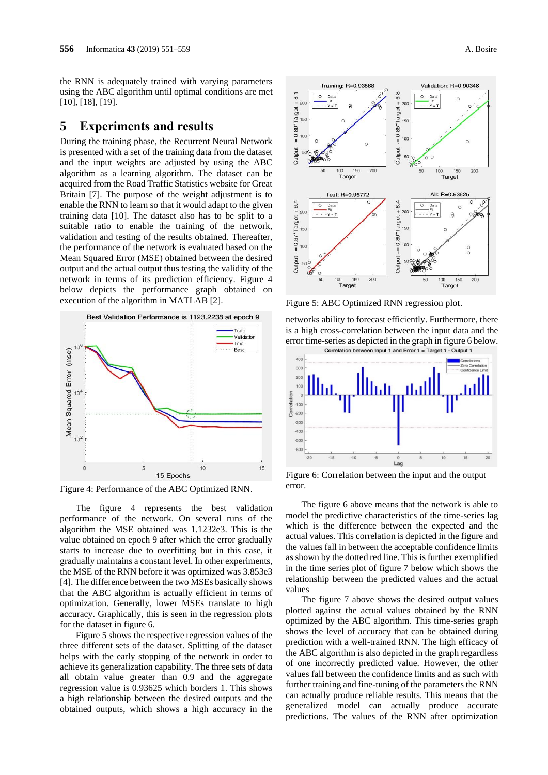the RNN is adequately trained with varying parameters using the ABC algorithm until optimal conditions are met [10], [18], [19].

### **5 Experiments and results**

During the training phase, the Recurrent Neural Network is presented with a set of the training data from the dataset and the input weights are adjusted by using the ABC algorithm as a learning algorithm. The dataset can be acquired from the Road Traffic Statistics website for Great Britain [7]. The purpose of the weight adjustment is to enable the RNN to learn so that it would adapt to the given training data [10]. The dataset also has to be split to a suitable ratio to enable the training of the network, validation and testing of the results obtained. Thereafter, the performance of the network is evaluated based on the Mean Squared Error (MSE) obtained between the desired output and the actual output thus testing the validity of the network in terms of its prediction efficiency. Figure 4 below depicts the performance graph obtained on execution of the algorithm in MATLAB [2].



Figure 4: Performance of the ABC Optimized RNN.

The figure 4 represents the best validation performance of the network. On several runs of the algorithm the MSE obtained was 1.1232e3. This is the value obtained on epoch 9 after which the error gradually starts to increase due to overfitting but in this case, it gradually maintains a constant level. In other experiments, the MSE of the RNN before it was optimized was 3.853e3 [4]. The difference between the two MSEs basically shows that the ABC algorithm is actually efficient in terms of optimization. Generally, lower MSEs translate to high accuracy. Graphically, this is seen in the regression plots for the dataset in figure 6.

Figure 5 shows the respective regression values of the three different sets of the dataset. Splitting of the dataset helps with the early stopping of the network in order to achieve its generalization capability. The three sets of data all obtain value greater than 0.9 and the aggregate regression value is 0.93625 which borders 1. This shows a high relationship between the desired outputs and the obtained outputs, which shows a high accuracy in the



Figure 5: ABC Optimized RNN regression plot.

networks ability to forecast efficiently. Furthermore, there is a high cross-correlation between the input data and the error time-series as depicted in the graph in figure 6 below.



Figure 6: Correlation between the input and the output error.

The figure 6 above means that the network is able to model the predictive characteristics of the time-series lag which is the difference between the expected and the actual values. This correlation is depicted in the figure and the values fall in between the acceptable confidence limits as shown by the dotted red line. This is further exemplified in the time series plot of figure 7 below which shows the relationship between the predicted values and the actual values

The figure 7 above shows the desired output values plotted against the actual values obtained by the RNN optimized by the ABC algorithm. This time-series graph shows the level of accuracy that can be obtained during prediction with a well-trained RNN. The high efficacy of the ABC algorithm is also depicted in the graph regardless of one incorrectly predicted value. However, the other values fall between the confidence limits and as such with further training and fine-tuning of the parameters the RNN can actually produce reliable results. This means that the generalized model can actually produce accurate predictions. The values of the RNN after optimization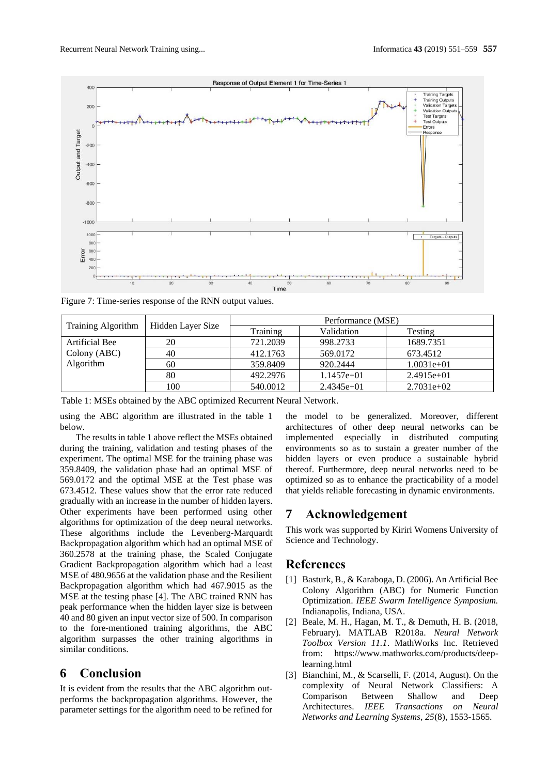

Figure 7: Time-series response of the RNN output values.

| <b>Training Algorithm</b> | Hidden Layer Size | Performance (MSE) |              |              |
|---------------------------|-------------------|-------------------|--------------|--------------|
|                           |                   | Training          | Validation   | Testing      |
| Artificial Bee            | 20                | 721.2039          | 998.2733     | 1689.7351    |
| Colony (ABC)              | 40                | 412.1763          | 569.0172     | 673.4512     |
| Algorithm                 | 60                | 359.8409          | 920.2444     | $1.0031e+01$ |
|                           | 80                | 492.2976          | $1.1457e+01$ | $2.4915e+01$ |
|                           | 100               | 540.0012          | $2.4345e+01$ | $2.7031e+02$ |

Table 1: MSEs obtained by the ABC optimized Recurrent Neural Network.

using the ABC algorithm are illustrated in the table 1 below.

The results in table 1 above reflect the MSEs obtained during the training, validation and testing phases of the experiment. The optimal MSE for the training phase was 359.8409, the validation phase had an optimal MSE of 569.0172 and the optimal MSE at the Test phase was 673.4512. These values show that the error rate reduced gradually with an increase in the number of hidden layers. Other experiments have been performed using other algorithms for optimization of the deep neural networks. These algorithms include the Levenberg-Marquardt Backpropagation algorithm which had an optimal MSE of 360.2578 at the training phase, the Scaled Conjugate Gradient Backpropagation algorithm which had a least MSE of 480.9656 at the validation phase and the Resilient Backpropagation algorithm which had 467.9015 as the MSE at the testing phase [4]. The ABC trained RNN has peak performance when the hidden layer size is between 40 and 80 given an input vector size of 500. In comparison to the fore-mentioned training algorithms, the ABC algorithm surpasses the other training algorithms in similar conditions.

# **6 Conclusion**

It is evident from the results that the ABC algorithm outperforms the backpropagation algorithms. However, the parameter settings for the algorithm need to be refined for the model to be generalized. Moreover, different architectures of other deep neural networks can be implemented especially in distributed computing environments so as to sustain a greater number of the hidden layers or even produce a sustainable hybrid thereof. Furthermore, deep neural networks need to be optimized so as to enhance the practicability of a model that yields reliable forecasting in dynamic environments.

### **7 Acknowledgement**

This work was supported by Kiriri Womens University of Science and Technology.

## **References**

- [1] Basturk, B., & Karaboga, D. (2006). An Artificial Bee Colony Algorithm (ABC) for Numeric Function Optimization. *IEEE Swarm Intelligence Symposium.* Indianapolis, Indiana, USA.
- [2] Beale, M. H., Hagan, M. T., & Demuth, H. B. (2018, February). MATLAB R2018a. *Neural Network Toolbox Version 11.1*. MathWorks Inc. Retrieved from: https://www.mathworks.com/products/deeplearning.html
- [3] Bianchini, M., & Scarselli, F. (2014, August). On the complexity of Neural Network Classifiers: A Comparison Between Shallow and Deep Architectures. *IEEE Transactions on Neural Networks and Learning Systems, 25*(8), 1553-1565.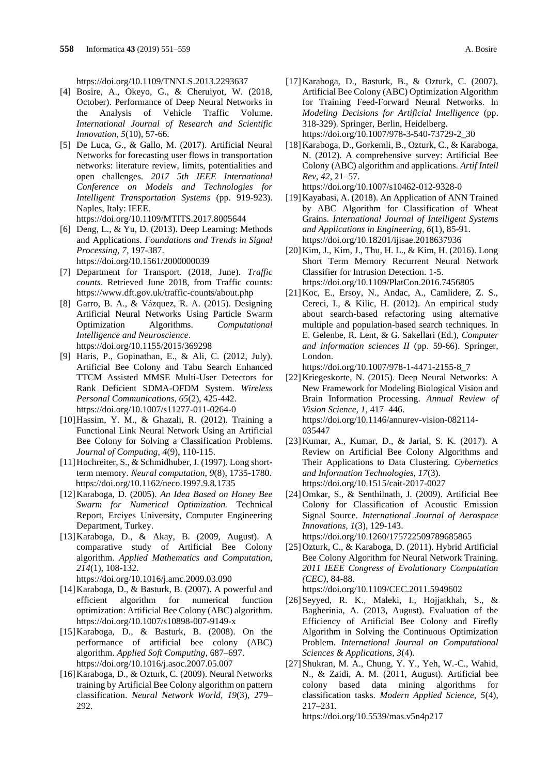<https://doi.org/10.1109/TNNLS.2013.2293637>

- [4] Bosire, A., Okeyo, G., & Cheruiyot, W. (2018, October). Performance of Deep Neural Networks in the Analysis of Vehicle Traffic Volume. *International Journal of Research and Scientific Innovation, 5*(10), 57-66.
- [5] De Luca, G., & Gallo, M. (2017). Artificial Neural Networks for forecasting user flows in transportation networks: literature review, limits, potentialities and open challenges. *2017 5th IEEE International Conference on Models and Technologies for Intelligent Transportation Systems* (pp. 919-923). Naples, Italy: IEEE. <https://doi.org/10.1109/MTITS.2017.8005644>
- [6] Deng, L., & Yu, D. (2013). Deep Learning: Methods and Applications. *Foundations and Trends in Signal Processing, 7*, 197-387. <https://doi.org/10.1561/2000000039>
- [7] Department for Transport. (2018, June). *Traffic*
- *counts*. Retrieved June 2018, from Traffic counts: https://www.dft.gov.uk/traffic-counts/about.php
- [8] Garro, B. A., & Vázquez, R. A. (2015). Designing Artificial Neural Networks Using Particle Swarm Optimization Algorithms. *Computational Intelligence and Neuroscience*. <https://doi.org/10.1155/2015/369298>
- [9] Haris, P., Gopinathan, E., & Ali, C. (2012, July). Artificial Bee Colony and Tabu Search Enhanced TTCM Assisted MMSE Multi-User Detectors for Rank Deficient SDMA-OFDM System. *Wireless Personal Communications, 65*(2), 425-442. <https://doi.org/10.1007/s11277-011-0264-0>
- [10]Hassim, Y. M., & Ghazali, R. (2012). Training a Functional Link Neural Network Using an Artificial Bee Colony for Solving a Classification Problems. *Journal of Computing, 4*(9), 110-115.
- [11]Hochreiter, S., & Schmidhuber, J. (1997). Long shortterm memory. *Neural computation, 9*(8), 1735-1780. <https://doi.org/10.1162/neco.1997.9.8.1735>
- [12]Karaboga, D. (2005). *An Idea Based on Honey Bee Swarm for Numerical Optimization.* Technical Report, Erciyes University, Computer Engineering Department, Turkey.
- [13]Karaboga, D., & Akay, B. (2009, August). A comparative study of Artificial Bee Colony algorithm. *Applied Mathematics and Computation, 214*(1), 108-132.

<https://doi.org/10.1016/j.amc.2009.03.090>

- [14]Karaboga, D., & Basturk, B. (2007). A powerful and efficient algorithm for numerical function optimization: Artificial Bee Colony (ABC) algorithm. <https://doi.org/10.1007/s10898-007-9149-x>
- [15]Karaboga, D., & Basturk, B. (2008). On the performance of artificial bee colony (ABC) algorithm. *Applied Soft Computing*, 687–697. <https://doi.org/10.1016/j.asoc.2007.05.007>
- [16]Karaboga, D., & Ozturk, C. (2009). Neural Networks training by Artificial Bee Colony algorithm on pattern classification. *Neural Network World, 19*(3), 279– 292.
- [17]Karaboga, D., Basturk, B., & Ozturk, C. (2007). Artificial Bee Colony (ABC) Optimization Algorithm for Training Feed-Forward Neural Networks. In *Modeling Decisions for Artificial Intelligence* (pp. 318-329). Springer, Berlin, Heidelberg. [https://doi.org/10.1007/978-3-540-73729-2\\_30](https://doi.org/10.1007/978-3-540-73729-2_30)
- [18]Karaboga, D., Gorkemli, B., Ozturk, C., & Karaboga, N. (2012). A comprehensive survey: Artificial Bee Colony (ABC) algorithm and applications. *Artif Intell Rev, 42*, 21–57. <https://doi.org/10.1007/s10462-012-9328-0>
- [19]Kayabasi, A. (2018). An Application of ANN Trained by ABC Algorithm for Classification of Wheat Grains. *International Journal of Intelligent Systems and Applications in Engineering, 6*(1), 85-91. <https://doi.org/10.18201/ijisae.2018637936>
- [20]Kim, J., Kim, J., Thu, H. L., & Kim, H. (2016). Long Short Term Memory Recurrent Neural Network Classifier for Intrusion Detection. 1-5. <https://doi.org/10.1109/PlatCon.2016.7456805>
- [21]Koc, E., Ersoy, N., Andac, A., Camlidere, Z. S., Cereci, I., & Kilic, H. (2012). An empirical study about search-based refactoring using alternative multiple and population-based search techniques. In E. Gelenbe, R. Lent, & G. Sakellari (Ed.), *Computer and information sciences II* (pp. 59-66). Springer, London.

[https://doi.org/10.1007/978-1-4471-2155-8\\_7](https://doi.org/10.1007/978-1-4471-2155-8_7)

- [22]Kriegeskorte, N. (2015). Deep Neural Networks: A New Framework for Modeling Biological Vision and Brain Information Processing. *Annual Review of Vision Science, 1*, 417–446. [https://doi.org/10.1146/annurev-vision-082114-](https://doi.org/10.1146/annurev-vision-082114-035447) [035447](https://doi.org/10.1146/annurev-vision-082114-035447)
- [23]Kumar, A., Kumar, D., & Jarial, S. K. (2017). A Review on Artificial Bee Colony Algorithms and Their Applications to Data Clustering. *Cybernetics and Information Technologies, 17*(3). <https://doi.org/10.1515/cait-2017-0027>
- [24]Omkar, S., & Senthilnath, J. (2009). Artificial Bee Colony for Classification of Acoustic Emission Signal Source. *International Journal of Aerospace Innovations, 1*(3), 129-143.

<https://doi.org/10.1260/175722509789685865>

[25]Ozturk, C., & Karaboga, D. (2011). Hybrid Artificial Bee Colony Algorithm for Neural Network Training. *2011 IEEE Congress of Evolutionary Computation (CEC)*, 84-88.

<https://doi.org/10.1109/CEC.2011.5949602>

- [26]Seyyed, R. K., Maleki, I., Hojjatkhah, S., & Bagherinia, A. (2013, August). Evaluation of the Efficiency of Artificial Bee Colony and Firefly Algorithm in Solving the Continuous Optimization Problem. *International Journal on Computational Sciences & Applications, 3*(4).
- [27] Shukran, M. A., Chung, Y. Y., Yeh, W.-C., Wahid, N., & Zaidi, A. M. (2011, August). Artificial bee colony based data mining algorithms for classification tasks. *Modern Applied Science, 5*(4), 217–231.

<https://doi.org/10.5539/mas.v5n4p217>